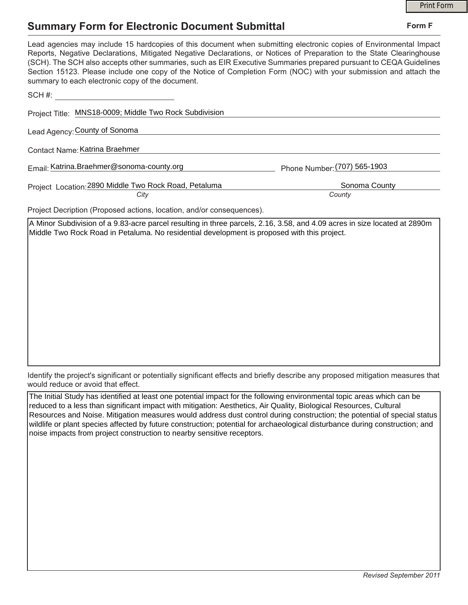## **Summary Form for Electronic Document Submittal**

|                                                                                                                                                                                                                                                                                                                                                                                                                                                                                                                                           | <b>Print Form</b>            |
|-------------------------------------------------------------------------------------------------------------------------------------------------------------------------------------------------------------------------------------------------------------------------------------------------------------------------------------------------------------------------------------------------------------------------------------------------------------------------------------------------------------------------------------------|------------------------------|
| <b>Summary Form for Electronic Document Submittal</b>                                                                                                                                                                                                                                                                                                                                                                                                                                                                                     | Form F                       |
| Lead agencies may include 15 hardcopies of this document when submitting electronic copies of Environmental Impact<br>Reports, Negative Declarations, Mitigated Negative Declarations, or Notices of Preparation to the State Clearinghouse<br>(SCH). The SCH also accepts other summaries, such as EIR Executive Summaries prepared pursuant to CEQA Guidelines<br>Section 15123. Please include one copy of the Notice of Completion Form (NOC) with your submission and attach the<br>summary to each electronic copy of the document. |                              |
| SCH #:                                                                                                                                                                                                                                                                                                                                                                                                                                                                                                                                    |                              |
| Project Title: MNS18-0009; Middle Two Rock Subdivision                                                                                                                                                                                                                                                                                                                                                                                                                                                                                    |                              |
| Lead Agency: County of Sonoma                                                                                                                                                                                                                                                                                                                                                                                                                                                                                                             |                              |
| Contact Name: Katrina Braehmer                                                                                                                                                                                                                                                                                                                                                                                                                                                                                                            |                              |
| Email: Katrina.Braehmer@sonoma-county.org                                                                                                                                                                                                                                                                                                                                                                                                                                                                                                 | Phone Number: (707) 565-1903 |
| Project Location: 2890 Middle Two Rock Road, Petaluma<br>City                                                                                                                                                                                                                                                                                                                                                                                                                                                                             | Sonoma County<br>County      |
| Project Decription (Proposed actions, location, and/or consequences).                                                                                                                                                                                                                                                                                                                                                                                                                                                                     |                              |

A Minor Subdivision of a 9.83-acre parcel resulting in three parcels, 2.16, 3.58, and 4.09 acres in size located at 2890m Middle Two Rock Road in Petaluma. No residential development is proposed with this project.

Identify the project's significant or potentially significant effects and briefly describe any proposed mitigation measures that would reduce or avoid that effect.

The Initial Study has identified at least one potential impact for the following environmental topic areas which can be reduced to a less than significant impact with mitigation: Aesthetics, Air Quality, Biological Resources, Cultural Resources and Noise. Mitigation measures would address dust control during construction; the potential of special status wildlife or plant species affected by future construction; potential for archaeological disturbance during construction; and noise impacts from project construction to nearby sensitive receptors.